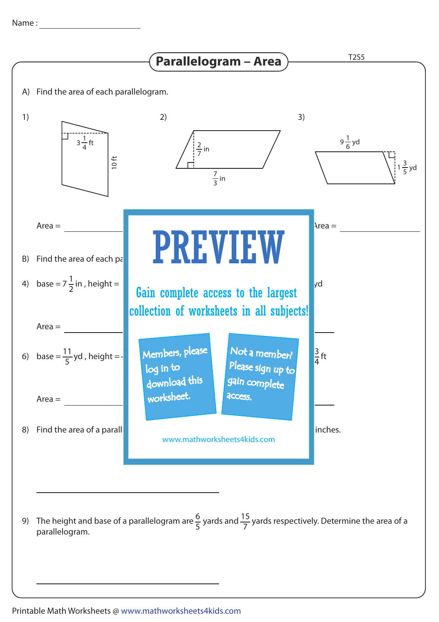